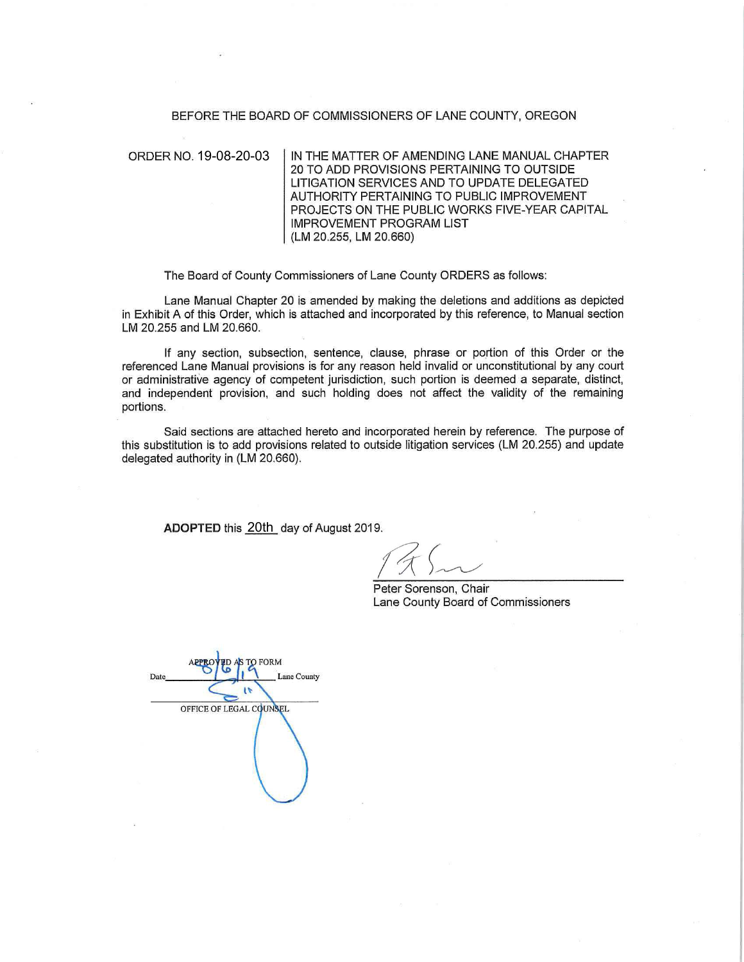#### BEFORE THE BOARD OF COMMISSIONERS OF LANE COUNTY, OREGON

ORDER NO. 19-08-20-03

IN THE MATTER OF AMENDING LANE MANUAL CHAPTER 20 TO ADD PROVISIONS PERTAINING TO OUTSIDE LITIGATION SERVICES AND TO UPDATE DELEGATED AUTHORITY PERTAINING TO PUBLIC IMPROVEMENT PROJECTS ON THE PUBLIC WORKS FIVE-YEAR CAPITAL IMPROVEMENT PROGRAM LIST (LM 20.255, LM 20.660)

The Board of County Commissioners of Lane County ORDERS as follows:

Lane Manual Chapter 20 is amended by making the deletions and additions as depicted in Exhibit A of this Order, which is attached and incorporated by this reference, to Manual section LM 20.255 and LM 20.660.

If any section, subsection, sentence, clause, phrase or portion of this Order or the referenced Lane Manual provisions is for any reason held invalid or unconstitutional by any court or administrative agency of competent jurisdiction, such portion is deemed a separate, distinct, and independent provision, and such holding does not affect the validity of the remaining portions.

Said sections are attached hereto and incorporated herein by reference. The purpose of this substitution is to add provisions related to outside litigation services (LM 20.255) and update delegated authority in (LM 20.660).

**ADOPTED** this <u>20th</u>\_day of August 2019.

Peter Sorenson, Chair Lane County Board of Commissioners

**FORM** APPRE Lane County OFFICE OF LEGAL COUNSEL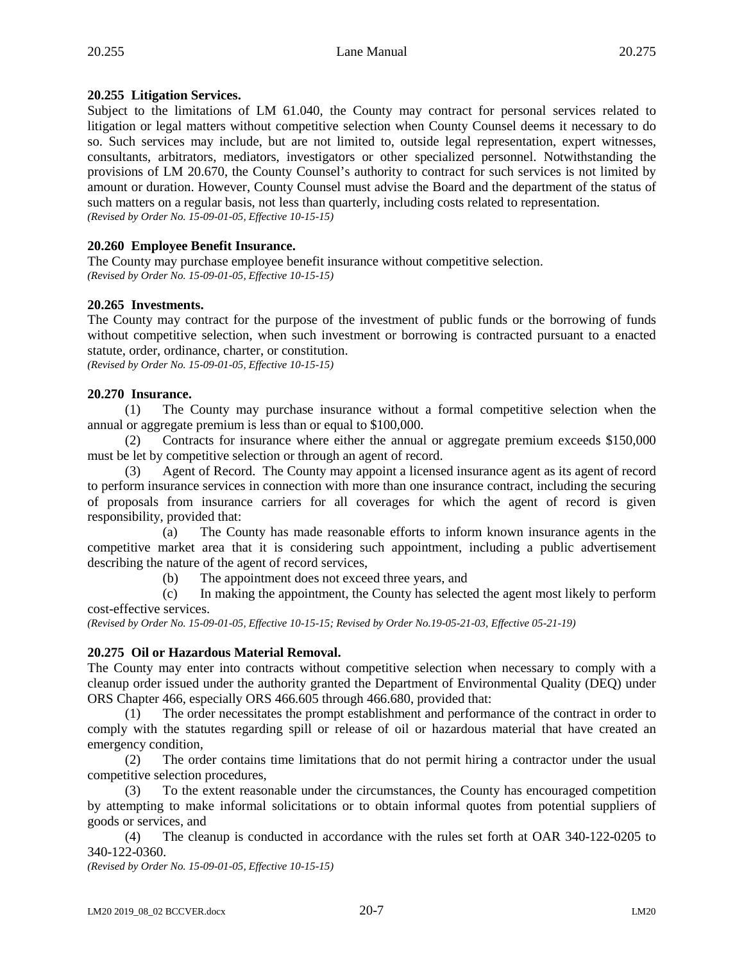## **20.255 Litigation Services.**

Subject to the limitations of LM 61.040, the County may contract for personal services related to litigation or legal matters without competitive selection when County Counsel deems it necessary to do so. Such services may include, but are not limited to, outside legal representation, expert witnesses, consultants, arbitrators, mediators, investigators or other specialized personnel. Notwithstanding the provisions of LM 20.670, the County Counsel's authority to contract for such services is not limited by amount or duration. However, County Counsel must advise the Board and the department of the status of such matters on a regular basis, not less than quarterly, including costs related to representation. *(Revised by Order No. 15-09-01-05, Effective 10-15-15)*

## **20.260 Employee Benefit Insurance.**

The County may purchase employee benefit insurance without competitive selection. *(Revised by Order No. 15-09-01-05, Effective 10-15-15)*

### **20.265 Investments.**

The County may contract for the purpose of the investment of public funds or the borrowing of funds without competitive selection, when such investment or borrowing is contracted pursuant to a enacted statute, order, ordinance, charter, or constitution.

*(Revised by Order No. 15-09-01-05, Effective 10-15-15)*

### **20.270 Insurance.**

(1) The County may purchase insurance without a formal competitive selection when the annual or aggregate premium is less than or equal to \$100,000.

(2) Contracts for insurance where either the annual or aggregate premium exceeds \$150,000 must be let by competitive selection or through an agent of record.

Agent of Record. The County may appoint a licensed insurance agent as its agent of record to perform insurance services in connection with more than one insurance contract, including the securing of proposals from insurance carriers for all coverages for which the agent of record is given responsibility, provided that:

(a) The County has made reasonable efforts to inform known insurance agents in the competitive market area that it is considering such appointment, including a public advertisement describing the nature of the agent of record services,

(b) The appointment does not exceed three years, and

(c) In making the appointment, the County has selected the agent most likely to perform cost-effective services.

*(Revised by Order No. 15-09-01-05, Effective 10-15-15; Revised by Order No.19-05-21-03, Effective 05-21-19)*

## **20.275 Oil or Hazardous Material Removal.**

The County may enter into contracts without competitive selection when necessary to comply with a cleanup order issued under the authority granted the Department of Environmental Quality (DEQ) under ORS Chapter 466, especially ORS 466.605 through 466.680, provided that:

(1) The order necessitates the prompt establishment and performance of the contract in order to comply with the statutes regarding spill or release of oil or hazardous material that have created an emergency condition,

(2) The order contains time limitations that do not permit hiring a contractor under the usual competitive selection procedures,

(3) To the extent reasonable under the circumstances, the County has encouraged competition by attempting to make informal solicitations or to obtain informal quotes from potential suppliers of goods or services, and

(4) The cleanup is conducted in accordance with the rules set forth at OAR 340-122-0205 to 340-122-0360.

*(Revised by Order No. 15-09-01-05, Effective 10-15-15)*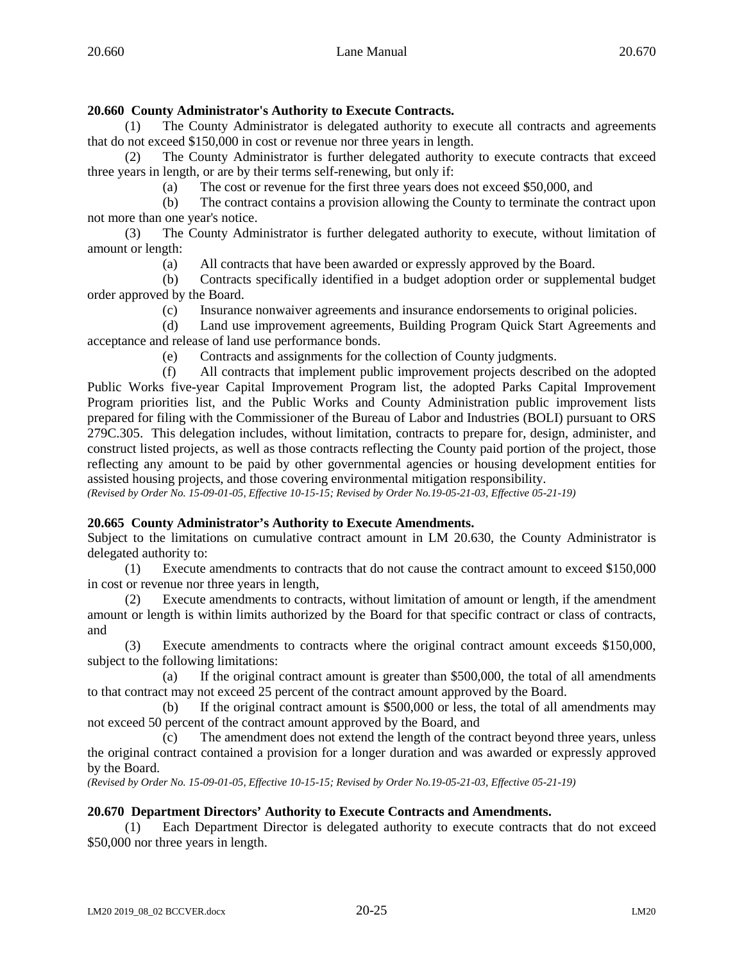# **20.660 County Administrator's Authority to Execute Contracts.**

(1) The County Administrator is delegated authority to execute all contracts and agreements that do not exceed \$150,000 in cost or revenue nor three years in length.

(2) The County Administrator is further delegated authority to execute contracts that exceed three years in length, or are by their terms self-renewing, but only if:

(a) The cost or revenue for the first three years does not exceed \$50,000, and

(b) The contract contains a provision allowing the County to terminate the contract upon not more than one year's notice.

(3) The County Administrator is further delegated authority to execute, without limitation of amount or length:

(a) All contracts that have been awarded or expressly approved by the Board.

(b) Contracts specifically identified in a budget adoption order or supplemental budget order approved by the Board.

(c) Insurance nonwaiver agreements and insurance endorsements to original policies.

(d) Land use improvement agreements, Building Program Quick Start Agreements and acceptance and release of land use performance bonds.

(e) Contracts and assignments for the collection of County judgments.

(f) All contracts that implement public improvement projects described on the adopted Public Works five-year Capital Improvement Program list, the adopted Parks Capital Improvement Program priorities list, and the Public Works and County Administration public improvement lists prepared for filing with the Commissioner of the Bureau of Labor and Industries (BOLI) pursuant to ORS 279C.305. This delegation includes, without limitation, contracts to prepare for, design, administer, and construct listed projects, as well as those contracts reflecting the County paid portion of the project, those reflecting any amount to be paid by other governmental agencies or housing development entities for assisted housing projects, and those covering environmental mitigation responsibility.

*(Revised by Order No. 15-09-01-05, Effective 10-15-15; Revised by Order No.19-05-21-03, Effective 05-21-19)*

## **20.665 County Administrator's Authority to Execute Amendments.**

Subject to the limitations on cumulative contract amount in LM 20.630, the County Administrator is delegated authority to:

(1) Execute amendments to contracts that do not cause the contract amount to exceed \$150,000 in cost or revenue nor three years in length,

(2) Execute amendments to contracts, without limitation of amount or length, if the amendment amount or length is within limits authorized by the Board for that specific contract or class of contracts, and

(3) Execute amendments to contracts where the original contract amount exceeds \$150,000, subject to the following limitations:

(a) If the original contract amount is greater than \$500,000, the total of all amendments to that contract may not exceed 25 percent of the contract amount approved by the Board.

(b) If the original contract amount is \$500,000 or less, the total of all amendments may not exceed 50 percent of the contract amount approved by the Board, and

(c) The amendment does not extend the length of the contract beyond three years, unless the original contract contained a provision for a longer duration and was awarded or expressly approved by the Board.

*(Revised by Order No. 15-09-01-05, Effective 10-15-15; Revised by Order No.19-05-21-03, Effective 05-21-19)*

## **20.670 Department Directors' Authority to Execute Contracts and Amendments.**

(1) Each Department Director is delegated authority to execute contracts that do not exceed \$50,000 nor three years in length.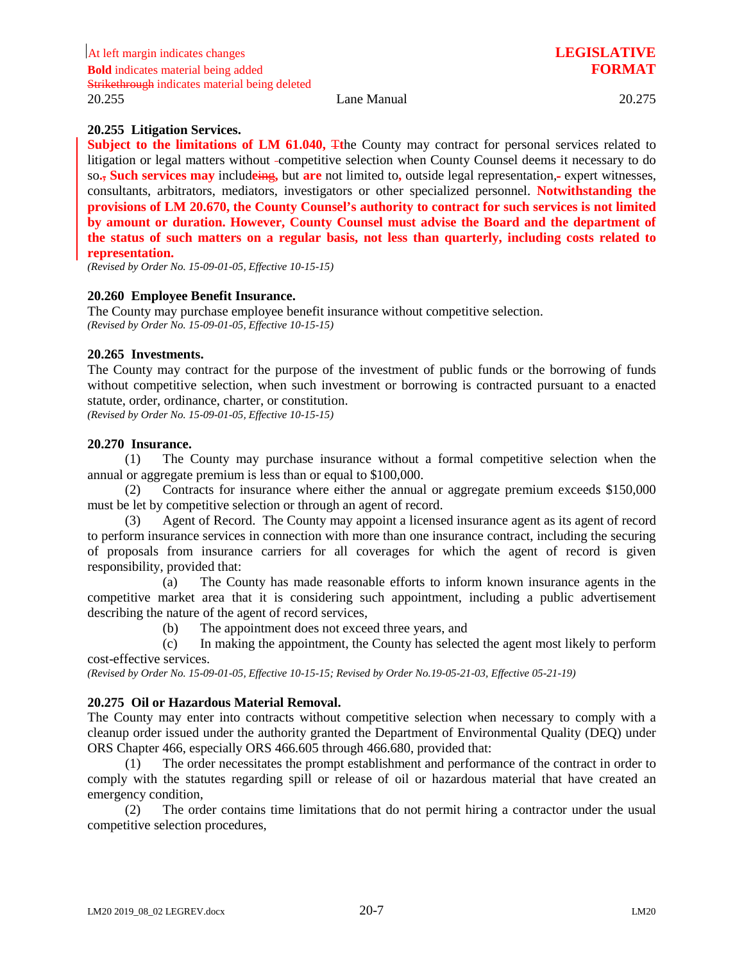### **20.255 Litigation Services.**

**Subject to the limitations of LM 61.040,** The County may contract for personal services related to litigation or legal matters without -competitive selection when County Counsel deems it necessary to do so**.**, **Such services may** includ**e**ing**,** but **are** not limited to**,** outside legal representation, expert witnesses, consultants, arbitrators, mediators, investigators or other specialized personnel. **Notwithstanding the provisions of LM 20.670, the County Counsel's authority to contract for such services is not limited by amount or duration. However, County Counsel must advise the Board and the department of the status of such matters on a regular basis, not less than quarterly, including costs related to representation.**

*(Revised by Order No. 15-09-01-05, Effective 10-15-15)*

#### **20.260 Employee Benefit Insurance.**

The County may purchase employee benefit insurance without competitive selection. *(Revised by Order No. 15-09-01-05, Effective 10-15-15)*

#### **20.265 Investments.**

The County may contract for the purpose of the investment of public funds or the borrowing of funds without competitive selection, when such investment or borrowing is contracted pursuant to a enacted statute, order, ordinance, charter, or constitution.

*(Revised by Order No. 15-09-01-05, Effective 10-15-15)*

#### **20.270 Insurance.**

(1) The County may purchase insurance without a formal competitive selection when the annual or aggregate premium is less than or equal to \$100,000.

(2) Contracts for insurance where either the annual or aggregate premium exceeds \$150,000 must be let by competitive selection or through an agent of record.

(3) Agent of Record. The County may appoint a licensed insurance agent as its agent of record to perform insurance services in connection with more than one insurance contract, including the securing of proposals from insurance carriers for all coverages for which the agent of record is given responsibility, provided that:

(a) The County has made reasonable efforts to inform known insurance agents in the competitive market area that it is considering such appointment, including a public advertisement describing the nature of the agent of record services,

(b) The appointment does not exceed three years, and

(c) In making the appointment, the County has selected the agent most likely to perform cost-effective services.

*(Revised by Order No. 15-09-01-05, Effective 10-15-15; Revised by Order No.19-05-21-03, Effective 05-21-19)*

### **20.275 Oil or Hazardous Material Removal.**

The County may enter into contracts without competitive selection when necessary to comply with a cleanup order issued under the authority granted the Department of Environmental Quality (DEQ) under ORS Chapter 466, especially ORS 466.605 through 466.680, provided that:

(1) The order necessitates the prompt establishment and performance of the contract in order to comply with the statutes regarding spill or release of oil or hazardous material that have created an emergency condition,

(2) The order contains time limitations that do not permit hiring a contractor under the usual competitive selection procedures,